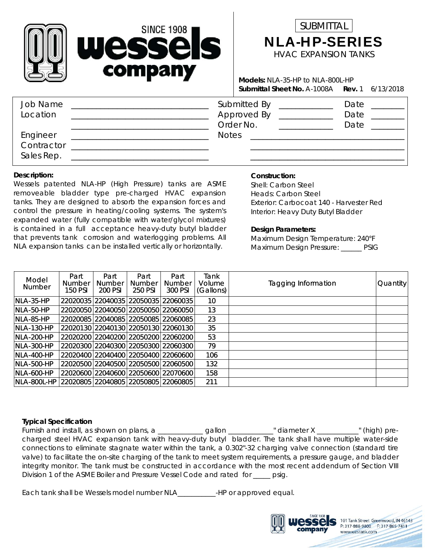



**Rev.** 1 6/13/2018 A-1008A **Submittal Sheet No. Models:** NLA-35-HP to NLA-800L-HP

| Job Name<br>Location                 | Submitted By<br>Approved By<br>Order No. | Date<br>Date<br>Date |
|--------------------------------------|------------------------------------------|----------------------|
| Engineer<br>Contractor<br>Sales Rep. | <b>Notes</b>                             |                      |

#### **Description:**

Wessels patented NLA-HP (High Pressure) tanks are ASME removeable bladder type pre-charged HVAC expansion tanks. They are designed to absorb the expansion forces and control the pressure in heating/cooling systems. The system's expanded water (fully compatible with water/glycol mixtures) is contained in a full acceptance heavy-duty butyl bladder that prevents tank corrosion and waterlogging problems. All NLA expansion tanks can be installed vertically or horizontally.

### **Construction:**

Interior: Heavy Duty Butyl Bladder Exterior: Carbocoat 140 - Harvester Red Heads: Carbon Steel Shell: Carbon Steel

### **Design Parameters:**

Maximum Design Pressure: \_\_\_\_\_\_ PSIG Maximum Design Temperature: 240°F

| Model<br>Number   | Part<br><b>Number</b><br><b>150 PSI</b> | Part<br><b>Number</b><br>200 PSI | Part<br><b>Number</b><br>250 PSI | Part<br><b>Number</b><br>300 PSI          | Tank<br>Volume<br>(Gallons) | Tagging Information | Quantity |
|-------------------|-----------------------------------------|----------------------------------|----------------------------------|-------------------------------------------|-----------------------------|---------------------|----------|
| $NLA-35-HP$       |                                         |                                  |                                  | 22020035 22040035 22050035 22060035       | 10                          |                     |          |
| NLA-50-HP         |                                         |                                  |                                  | 22020050 22040050 22050050 22060050       | 13                          |                     |          |
| $NLA-85-HP$       |                                         |                                  |                                  | 22020085 22040085 22050085 22060085       | 23                          |                     |          |
| NLA-130-HP        |                                         |                                  |                                  | 22020130 22040130 22050130 22060130       | 35                          |                     |          |
| <b>NLA-200-HP</b> |                                         |                                  |                                  | 22020200 22040200 22050200 22060200       | 53                          |                     |          |
| <b>NLA-300-HP</b> |                                         |                                  |                                  | 22020300 22040300 22050300 22060300       | 79                          |                     |          |
| <b>NLA-400-HP</b> |                                         |                                  |                                  | 22020400   22040400   22050400   22060600 | 106                         |                     |          |
| <b>NLA-500-HP</b> |                                         |                                  |                                  | 22020500 22040500 22050500 22060500       | 132                         |                     |          |
| <b>NLA-600-HP</b> |                                         |                                  |                                  | 22020600 22040600 22050600 22070600       | 158                         |                     |          |
| NLA-800L-HP       |                                         |                                  |                                  | 22020805 22040805 22050805 22060805       | 211                         |                     |          |

### **Typical Specification**

Furnish and install, as shown on plans, a \_\_\_\_\_\_\_\_\_\_\_\_\_gallon \_\_\_\_\_\_\_\_\_\_\_\_" diameter X \_\_\_\_\_\_\_\_\_\_\_" (high) precharged steel HVAC expansion tank with heavy-duty butyl bladder. The tank shall have multiple water-side connections to eliminate stagnate water within the tank, a 0.302"-32 charging valve connection (standard tire valve) to facilitate the on-site charging of the tank to meet system requirements, a pressure gauge, and bladder integrity monitor. The tank must be constructed in accordance with the most recent addendum of Section VIII Division 1 of the ASME Boiler and Pressure Vessel Code and rated for \_\_\_\_\_ psig.

Each tank shall be Wessels model number NLA\_\_\_\_\_\_\_\_\_\_\_-HP or approved equal.